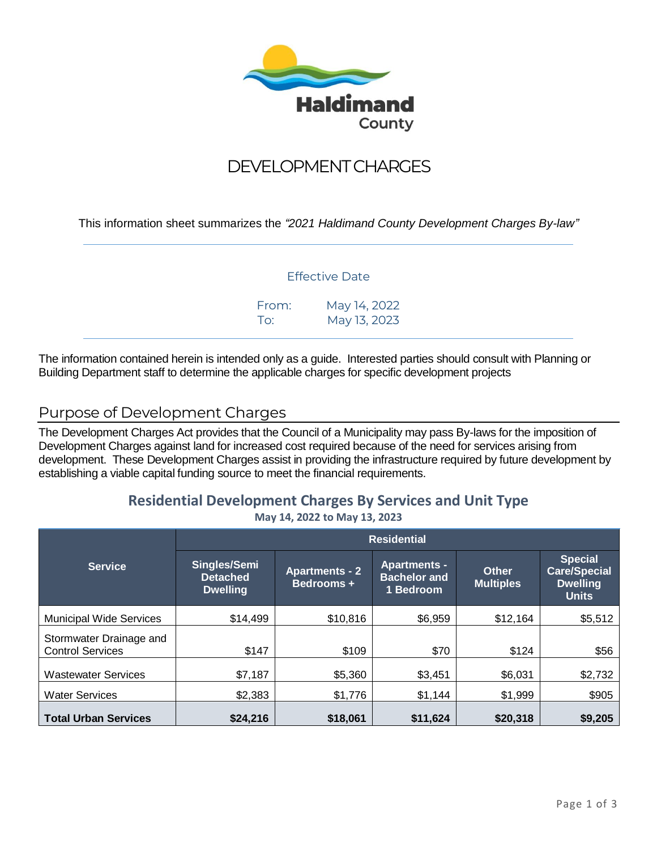

# DEVELOPMENT CHARGES

This information sheet summarizes the *"2021 Haldimand County Development Charges By-law"*

#### Effective Date

| From: | May 14, 2022 |
|-------|--------------|
| To:   | May 13, 2023 |

The information contained herein is intended only as a guide. Interested parties should consult with Planning or Building Department staff to determine the applicable charges for specific development projects

# Purpose of Development Charges

The Development Charges Act provides that the Council of a Municipality may pass By-laws for the imposition of Development Charges against land for increased cost required because of the need for services arising from development. These Development Charges assist in providing the infrastructure required by future development by establishing a viable capital funding source to meet the financial requirements.

#### **Residential Development Charges By Services and Unit Type May 14, 2022 to May 13, 2023**

|                                                    | <b>Residential</b>                                 |                                     |                                                         |                                  |                                                                          |
|----------------------------------------------------|----------------------------------------------------|-------------------------------------|---------------------------------------------------------|----------------------------------|--------------------------------------------------------------------------|
| <b>Service</b>                                     | Singles/Semi<br><b>Detached</b><br><b>Dwelling</b> | <b>Apartments - 2</b><br>Bedrooms + | <b>Apartments -</b><br><b>Bachelor and</b><br>1 Bedroom | <b>Other</b><br><b>Multiples</b> | <b>Special</b><br><b>Care/Special</b><br><b>Dwelling</b><br><b>Units</b> |
| <b>Municipal Wide Services</b>                     | \$14,499                                           | \$10,816                            | \$6,959                                                 | \$12,164                         | \$5,512                                                                  |
| Stormwater Drainage and<br><b>Control Services</b> | \$147                                              | \$109                               | \$70                                                    | \$124                            | \$56                                                                     |
| <b>Wastewater Services</b>                         | \$7,187                                            | \$5,360                             | \$3,451                                                 | \$6,031                          | \$2,732                                                                  |
| <b>Water Services</b>                              | \$2,383                                            | \$1,776                             | \$1,144                                                 | \$1,999                          | \$905                                                                    |
| <b>Total Urban Services</b>                        | \$24,216                                           | \$18,061                            | \$11,624                                                | \$20,318                         | \$9,205                                                                  |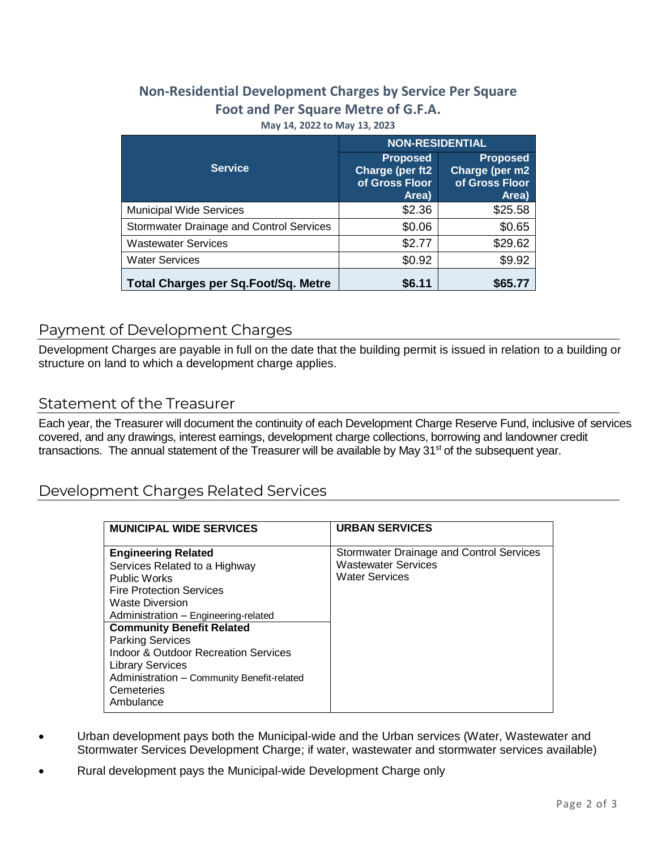# **Non-Residential Development Charges by Service Per Square Foot and Per Square Metre of G.F.A. May 14, 2022 to May 13, 2023**

|                                                 | <b>NON-RESIDENTIAL</b>                                        |                                                              |  |  |
|-------------------------------------------------|---------------------------------------------------------------|--------------------------------------------------------------|--|--|
| <b>Service</b>                                  | <b>Proposed</b><br>Charge (per ft2<br>of Gross Floor<br>Area) | <b>Proposed</b><br>Charge (per m2<br>of Gross Floor<br>Area) |  |  |
| <b>Municipal Wide Services</b>                  | \$2.36                                                        | \$25.58                                                      |  |  |
| <b>Stormwater Drainage and Control Services</b> | \$0.06                                                        | \$0.65                                                       |  |  |
| <b>Wastewater Services</b>                      | \$2.77                                                        | \$29.62                                                      |  |  |
| <b>Water Services</b>                           | \$0.92                                                        | \$9.92                                                       |  |  |
| <b>Total Charges per Sq. Foot/Sq. Metre</b>     | \$6.11                                                        | \$65.7                                                       |  |  |

# Payment of Development Charges

Development Charges are payable in full on the date that the building permit is issued in relation to a building or structure on land to which a development charge applies.

# Statement of the Treasurer

Each year, the Treasurer will document the continuity of each Development Charge Reserve Fund, inclusive of services covered, and any drawings, interest earnings, development charge collections, borrowing and landowner credit transactions. The annual statement of the Treasurer will be available by May  $31<sup>st</sup>$  of the subsequent year.

# Development Charges Related Services

| <b>MUNICIPAL WIDE SERVICES</b>                                                                                                                                                                                                                                                                                                                                                                                | <b>URBAN SERVICES</b>                                                                           |
|---------------------------------------------------------------------------------------------------------------------------------------------------------------------------------------------------------------------------------------------------------------------------------------------------------------------------------------------------------------------------------------------------------------|-------------------------------------------------------------------------------------------------|
| <b>Engineering Related</b><br>Services Related to a Highway<br><b>Public Works</b><br><b>Fire Protection Services</b><br><b>Waste Diversion</b><br>Administration - Engineering-related<br><b>Community Benefit Related</b><br><b>Parking Services</b><br><b>Indoor &amp; Outdoor Recreation Services</b><br><b>Library Services</b><br>Administration - Community Benefit-related<br>Cemeteries<br>Ambulance | Stormwater Drainage and Control Services<br><b>Wastewater Services</b><br><b>Water Services</b> |

- Urban development pays both the Municipal-wide and the Urban services (Water, Wastewater and Stormwater Services Development Charge; if water, wastewater and stormwater services available)
- Rural development pays the Municipal-wide Development Charge only